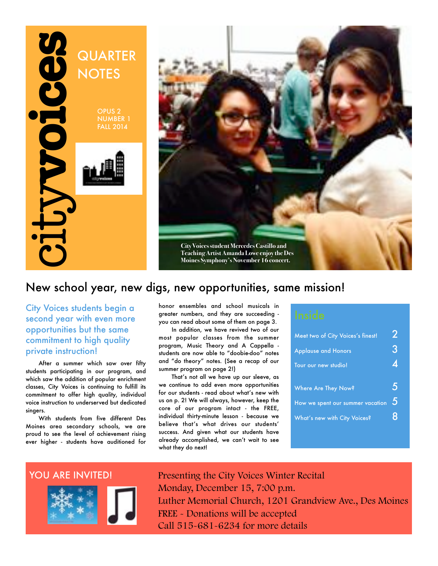



### New school year, new digs, new opportunities, same mission!

City Voices students begin a second year with even more opportunities but the same commitment to high quality private instruction!

After a summer which saw over fifty students participating in our program, and which saw the addition of popular enrichment classes, City Voices is continuing to fulfill its commitment to offer high quality, individual voice instruction to underserved but dedicated singers.

With students from five different Des Moines area secondary schools, we are proud to see the level of achievement rising ever higher - students have auditioned for

honor ensembles and school musicals in greater numbers, and they are succeeding you can read about some of them on page 3.

In addition, we have revived two of our most popular classes from the summer program, Music Theory and A Cappella students are now able to "doobie-doo" notes and "do theory" notes. (See a recap of our summer program on page 2!)

That's not all we have up our sleeve, as we continue to add even more opportunities for our students - read about what's new with us on p. 2! We will always, however, keep the core of our program intact - the FREE, individual thirty-minute lesson - because we believe that's what drives our students' success. And given what our students have already accomplished, we can't wait to see what they do next!

| Meet two of City Voices's finest! |   |
|-----------------------------------|---|
| <b>Applause and Honors</b>        | 3 |
| Tour our new studio!              |   |
| Where Are They Now?               |   |
| How we spent our summer vacation  | 5 |
| What's new with City Voices?      |   |



Presenting the City Voices Winter Recital Monday, December 15, 7:00 p.m. Luther Memorial Church, 1201 Grandview Ave., Des Moines FREE - Donations will be accepted Call 515-681-6234 for more details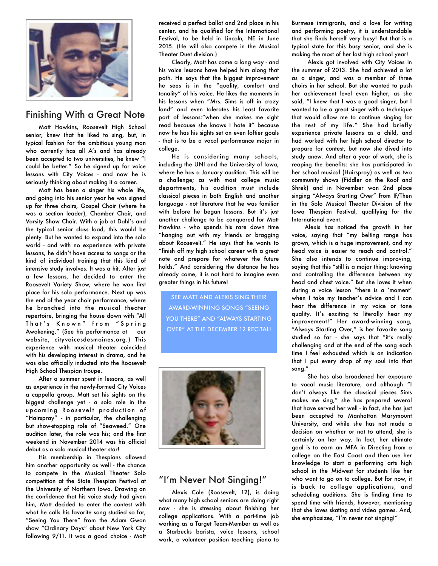

#### Finishing With a Great Note

Matt Hawkins, Roosevelt High School senior, knew that he liked to sing, but, in typical fashion for the ambitious young man who currently has all A's and has already been accepted to two universities, he knew "I could be better." So he signed up for voice lessons with City Voices - and now he is seriously thinking about making it a career.

Matt has been a singer his whole life, and going into his senior year he was signed up for three choirs, Gospel Choir (where he was a section leader), Chamber Choir, and Varsity Show Choir. With a job at Dahl's and the typical senior class load, this would be plenty. But he wanted to expand into the solo world - and with no experience with private lessons, he didn't have access to songs or the kind of individual training that this kind of intensive study involves. It was a hit. After just a few lessons, he decided to enter the Roosevelt Variety Show, where he won first place for his solo performance. Next up was the end of the year choir performance, where he branched into the musical theater repertoire, bringing the house down with "All That's Known" from "Spring Awakening." (See his performance at our website, cityvoicesdesmoines.org.) This experience with musical theater coincided with his developing interest in drama, and he was also officially inducted into the Roosevelt High School Thespian troupe.

After a summer spent in lessons, as well as experience in the newly-formed City Voices a cappella group, Matt set his sights on the biggest challenge yet - a solo role in the upcoming Roosevelt production of "Hairspray" - in particular, the challenging but show-stopping role of "Seaweed." One audition later, the role was his; and the first weekend in November 2014 was his official debut as a solo musical theater star!

His membership in Thespians allowed him another opportunity as well - the chance to compete in the Musical Theater Solo competition at the State Thespian Festival at the University of Northern Iowa. Drawing on the confidence that his voice study had given him, Matt decided to enter the contest with what he calls his favorite song studied so far, "Seeing You There" from the Adam Gwon show "Ordinary Days" about New York City following 9/11. It was a good choice - Matt received a perfect ballot and 2nd place in his center, and he qualified for the International Festival, to be held in Lincoln, NE in June 2015. (He will also compete in the Musical Theater Duet division.)

Clearly, Matt has come a long way - and his voice lessons have helped him along that path. He says that the biggest improvement he sees is in the "quality, comfort and tonality" of his voice. He likes the moments in his lessons when "Mrs. Sims is off in crazy land" and even tolerates his least favorite part of lessons:"when she makes me sight read because she knows I hate it" because now he has his sights set on even loftier goals - that is to be a vocal performance major in college.

He is considering many schools, including the UNI and the University of Iowa, where he has a January audition. This will be a challenge; as with most college music departments, his audition must include classical pieces in both English and another language - not literature that he was familiar with before he began lessons. But it's just another challenge to be conquered for Matt Hawkins - who spends his rare down time "hanging out with my friends or bragging about Roosevelt." He says that he wants to "finish off my high school career with a great note and prepare for whatever the future holds." And considering the distance he has already come, it is not hard to imagine even greater things in his future!

SEE MATT AND ALEXIS SING THEIR AWARD-WINNING SONGS "SEEING YOU THERE" AND "ALWAYS STARTING OVER" AT THE DECEMBER 12 RECITAL!



### "I'm Never Not Singing!"

Alexis Cole (Roosevelt, 12), is doing what many high school seniors are doing right now - she is stressing about finishing her college applications. With a part-time job working as a Target Team-Member as well as a Starbucks barista, voice lessons, school work, a volunteer position teaching piano to

Burmese immigrants, and a love for writing and performing poetry, it is understandable that she finds herself very busy! But that is a typical state for this busy senior, and she is making the most of her last high school year!

 Alexis got involved with City Voices in the summer of 2013. She had achieved a lot as a singer, and was a member of three choirs in her school. But she wanted to push her achievement level even higher; as she said, "I knew that I was a good singer, but I wanted to be a great singer with a technique that would allow me to continue singing for the rest of my life." She had briefly experience private lessons as a child, and had worked with her high school director to prepare for contest, but now she dived into study anew. And after a year of work, she is reaping the benefits: she has participated in her school musical (Hairspray) as well as two community shows (Fiddler on the Roof and Shrek) and in November won 2nd place singing "Always Starting Over" from If/Then in the Solo Musical Theater Division of the Iowa Thespian Festival, qualifying for the International event.

Alexis has noticed the growth in her voice, saying that "my belting range has grown, which is a huge improvement, and my head voice is easier to reach and control." She also intends to continue improving, saying that this "still is a major thing: knowing and controlling the difference between my head and chest voice." But she loves it when during a voice lesson "there is a 'moment' when I take my teacher's advice and I can hear the difference in my voice or tone quality. It's exciting to literally hear my improvement!" Her award-winning song, "Always Starting Over," is her favorite song studied so far - she says that "it's really challenging and at the end of the song each time I feel exhausted which is an indication that I put every drop of my soul into that song."

 She has also broadened her exposure to vocal music literature, and although "I don't always like the classical pieces Sims makes me sing," she has prepared several that have served her well - in fact, she has just been accepted to Manhattan Marymount University, and while she has not made a decision on whether or not to attend, she is certainly on her way. In fact, her ultimate goal is to earn an MFA in Directing from a college on the East Coast and then use her knowledge to start a performing arts high school in the Midwest for students like her who want to go on to college. But for now, it is back to college applications, and scheduling auditions. She is finding time to spend time with friends, however, mentioning that she loves skating and video games. And, she emphasizes, "I'm never not singing!"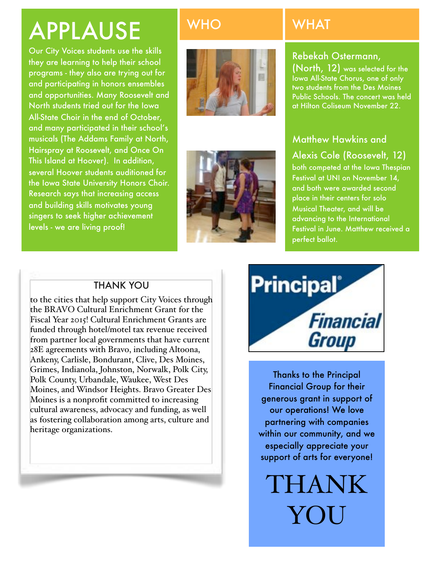# APPLAUSE

Our City Voices students use the skills they are learning to help their school programs - they also are trying out for and participating in honors ensembles and opportunities. Many Roosevelt and North students tried out for the Iowa All-State Choir in the end of October, and many participated in their school's musicals (The Addams Family at North, Hairspray at Roosevelt, and Once On This Island at Hoover). In addition, several Hoover students auditioned for the Iowa State University Honors Choir. Research says that increasing access and building skills motivates young singers to seek higher achievement levels - we are living proof!





# WHO WHAT

### Rebekah Ostermann,

(North, 12) was selected for the Iowa All-State Chorus, one of only two students from the Des Moines Public Schools. The concert was held at Hilton Coliseum November 22.

### Matthew Hawkins and

## Alexis Cole (Roosevelt, 12)

both competed at the Iowa Thespian Festival at UNI on November 14, and both were awarded second place in their centers for solo Musical Theater, and will be advancing to the International Festival in June. Matthew received a perfect ballot.

### THANK YOU

to the cities that help support City Voices through the BRAVO Cultural Enrichment Grant for the Fiscal Year 2015! Cultural Enrichment Grants are funded through hotel/motel tax revenue received from partner local governments that have current 28E agreements with Bravo, including Altoona, Ankeny, Carlisle, Bondurant, Clive, Des Moines, Grimes, Indianola, Johnston, Norwalk, Polk City, Polk County, Urbandale, Waukee, West Des Moines, and Windsor Heights. Bravo Greater Des Moines is a nonprofit committed to increasing cultural awareness, advocacy and funding, as well as fostering collaboration among arts, culture and heritage organizations.



Thanks to the Principal Financial Group for their generous grant in support of our operations! We love partnering with companies within our community, and we especially appreciate your support of arts for everyone!

THANK YOU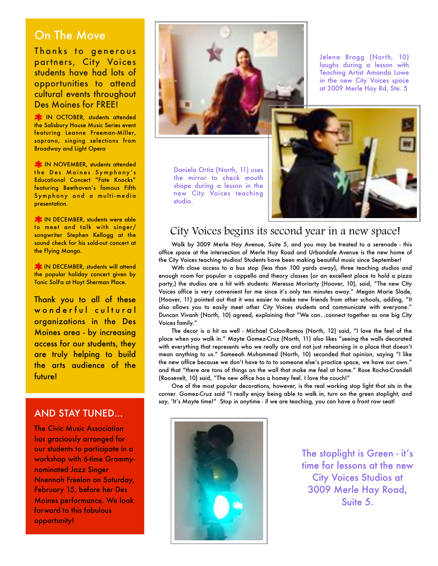### On The Move

Thanks to generous partners, City Voices students have had lots of opportunities to attend cultural events throughout Des Moines for FREE!

**X:** IN OCTOBER, students attended the Salisbury House Music Series event featuring Leanne Freeman-Miller, soprano, singing selections from Broadway and Light Opera.

**X** IN NOVEMBER, students attended the Des Moines Symphony's Educational Concert "Fate Knocks" featuring Beethoven's famous Fifth Sym phony and a multi-media presentation.

**X** IN DECEMBER, students were able to meet and talk with singer/ songwriter Stephen Kellogg at the sound check for his sold-out concert at the Flying Mango.

**X:** IN DECEMBER, students will attend the popular holiday concert given by Tonic SolFa at Hoyt Sherman Place..

Thank you to all of these wonderful cultural organizations in the Des Moines area - by increasing access for our students, they are truly helping to build the arts audience of the future!

#### AND STAY TUNED...

The Civic Music Association has graciously arranged for our students to participate in a workshop with 6-time Grammynominated Jazz Singer Nnennah Freelon on Saturday, February 15, before her Des Moines performance. We look forward to this fabulous opportunity!



Daniela Ortiz (North, 11) uses the mirror to check mouth shape during a lesson in the new City Voices teaching studio.

Jelena Bragg (North, 10) laughs during a lesson with Teaching Artist Amanda Lowe in the new City Voices space at 3009 Merle Hay Rd, Ste. 5



### City Voices begins its second year in a new space!

Walk by 3009 Merle Hay Avenue, Suite 5, and you may be treated to a serenade - this office space at the intersection of Merle Hay Road and Urbandale Avenue is the new home of the City Voices teaching studios! Students have been making beautiful music since September!

With close access to a bus stop (less than 100 yards away), three teaching studios and enough room for popular a cappella and theory classes (or an excellent place to hold a pizza party,) the studios are a hit with students: Meressa Moriarty (Hoover, 10), said, "The new CIty Voices office is very convenient for me since it's only ten minutes away." Megan Marie Slade, (Hoover, 11) pointed out that it was easier to make new friends from other schools, adding, "It also allows you to easily meet other City Voices students and communicate with everyone." Duncan Vivanh (North, 10) agreed, explaining that "We can...connect together as one big City Voices family."

The decor is a hit as well - Michael Colon-Ramos (North, 12) said, "I love the feel of the place when you walk in." Mayte Gomez-Cruz (North, 11) also likes "seeing the walls decorated with everything that represents who we really are and not just rehearsing in a place that doesn't mean anything to us." Sameeah Muhammed (North, 10) seconded that opinion, saying "I like the new office because we don't have to to to someone else's practice space, we have our own." and that "there are tons of things on the wall that make me feel at home." Rose Rocha-Crandell (Roosevelt, 10) said, "The new office has a homey feel. I love the couch!"

One of the most popular decorations, however, is the real working stop light that sits in the corner. Gomez-Cruz said "I really enjoy being able to walk in, turn on the green stoplight, and say, 'It's Mayte time!" Stop in anytime - if we are teaching, you can have a front row seat!



The stoplight is Green - it's time for lessons at the new City Voices Studios at 3009 Merle Hay Road, Suite 5.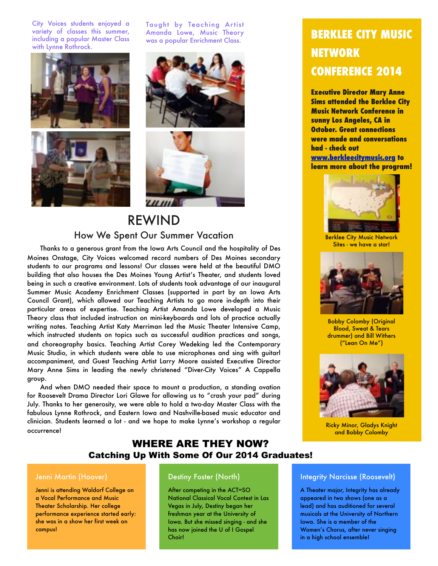City Voices students enjoyed a variety of classes this summer, including a popular Master Class with Lynne Rothrock.



Taught by Teaching Artist Amanda Lowe, Music Theory was a popular Enrichment Class.





### REWIND How We Spent Our Summer Vacation

Thanks to a generous grant from the Iowa Arts Council and the hospitality of Des Moines Onstage, City Voices welcomed record numbers of Des Moines secondary students to our programs and lessons! Our classes were held at the beautiful DMO building that also houses the Des Moines Young Artist's Theater, and students loved being in such a creative environment. Lots of students took advantage of our inaugural Summer Music Academy Enrichment Classes (supported in part by an Iowa Arts Council Grant), which allowed our Teaching Artists to go more in-depth into their particular areas of expertise. Teaching Artist Amanda Lowe developed a Music Theory class that included instruction on mini-keyboards and lots of practice actually writing notes. Teaching Artist Katy Merriman led the Music Theater Intensive Camp, which instructed students on topics such as successful audition practices and songs, and choreography basics. Teaching Artist Corey Wedeking led the Contemporary Music Studio, in which students were able to use microphones and sing with guitarl accompaniment, and Guest Teaching Artist Larry Moore assisted Executive Director Mary Anne Sims in leading the newly christened "Diver-City Voices" A Cappella group.

And when DMO needed their space to mount a production, a standing ovation for Roosevelt Drama Director Lori Glawe for allowing us to "crash your pad" during July. Thanks to her generosity, we were able to hold a two-day Master Class with the fabulous Lynne Rothrock, and Eastern Iowa and Nashville-based music educator and clinician. Students learned a lot - and we hope to make Lynne's workshop a regular occurrence!

# **BERKLEE CITY MUSIC NETWORK CONFERENCE 2014**

**Executive Director Mary Anne Sims attended the Berklee City Music Network Conference in sunny Los Angeles, CA in October. Great connections were made and conversations had - check out [www.berkleecitymusic.org](http://www.berkleecitymusic.org) to** 

**learn more about the program!** 



Berklee City Music Network Sites - we have a star!



Bobby Colomby (Original Blood, Sweat & Tears drummer) and Bill Withers ("Lean On Me")



Ricky Minor, Gladys Knight and Bobby Colomby

### WHERE ARE THEY NOW? Catching Up With Some Of Our 2014 Graduates!

#### Jenni Martin (Hoover)

Jenni is attending Waldorf College on a Vocal Performance and Music Theater Scholarship. Her college performance experience started early: she was in a show her first week on campus!

#### Destiny Foster (North)

After competing in the ACT=SO National Classical Vocal Contest in Las Vegas in July, Destiny began her freshman year at the University of Iowa. But she missed singing - and she has now joined the U of I Gospel Choir!

#### Integrity Narcisse (Roosevelt)

A Theater major, Integrity has already appeared in two shows (one as a lead) and has auditioned for several musicals at the University of Northern Iowa. She is a member of the Women's Chorus, after never singing in a high school ensemble!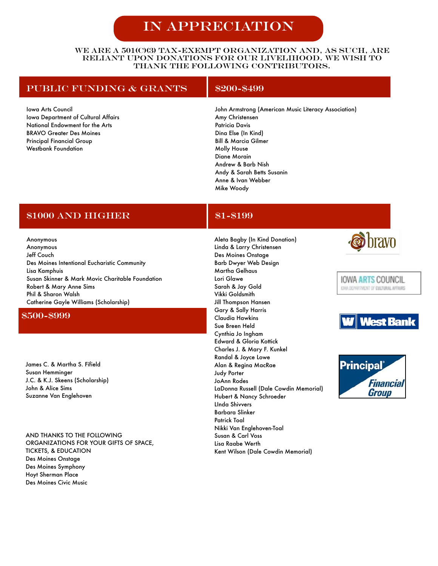# In Appreciation

#### We are a 501(c)(3) tax-exempt organization and, as such, are reliant upon donations for our livelihood. We wish to thank the following contributors.

#### PUBLIC FUNDING & GRANTS | \$200-\$499

Iowa Arts Council Iowa Department of Cultural Affairs National Endowment for the Arts BRAVO Greater Des Moines Principal Financial Group Westbank Foundation

John Armstrong (American Music Literacy Association) Amy Christensen Patricia Davis Dina Else (In Kind) Bill & Marcia Gilmer Molly House Diane Morain Andrew & Barb Nish Andy & Sarah Betts Susanin Anne & Ivan Webber Mike Woody

### \$1000 AND HIGHER \$1-\$199

Anonymous Anonymous Jeff Couch Des Moines Intentional Eucharistic Community Lisa Kamphuis Susan Skinner & Mark Movic Charitable Foundation Robert & Mary Anne Sims Phil & Sharon Walsh Catherine Gayle Williams (Scholarship)

#### \$500-\$999

James C. & Martha S. Fifield Susan Hemminger J.C. & K.J. Skeens (Scholarship) John & Alice Sims Suzanne Van Englehoven

AND THANKS TO THE FOLLOWING ORGANIZATIONS FOR YOUR GIFTS OF SPACE, TICKETS, & EDUCATION Des Moines Onstage Des Moines Symphony Hoyt Sherman Place Des Moines Civic Music

Aleta Bagby (In Kind Donation) Linda & Larry Christensen Des Moines Onstage Barb Dwyer Web Design Martha Gelhaus Lori Glawe Sarah & Jay Gold Vikki Goldsmith Jill Thompson Hansen Gary & Sally Harris Claudia Hawkins Sue Breen Held Cynthia Jo Ingham Edward & Gloria Kottick Charles J. & Mary F. Kunkel Randal & Joyce Lowe Alan & Regina MacRae Judy Porter JoAnn Rodes LaDonna Russell (Dale Cowdin Memorial) Hubert & Nancy Schroeder LInda Shivvers Barbara Slinker Patrick Toal Nikki Van Englehoven-Toal Susan & Carl Voss Lisa Raabe Werth Kent Wilson (Dale Cowdin Memorial)







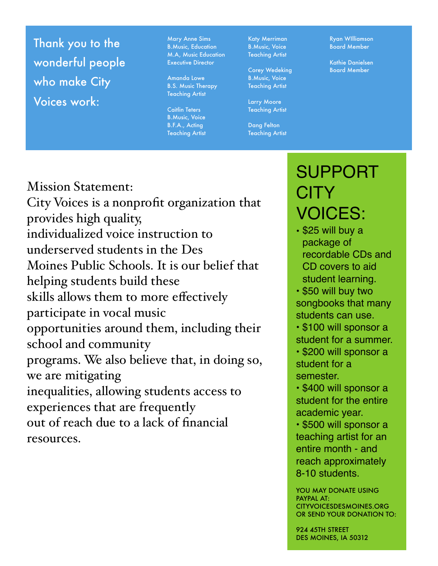Thank you to the wonderful people who make City Voices work:

resources.

Mary Anne Sims B.Music, Education M.A, Music Education Executive Director

Amanda Lowe B.S. Music Therapy Teaching Artist

Caitlin Teters B.Music, Voice B.F.A., Acting Teaching Artist Katy Merriman B.Music, Voice Teaching Artist

Corey Wedeking B.Music, Voice Teaching Artist

Larry Moore Teaching Artist

Dang Felton Teaching Artist Ryan WIlliamson Board Member

Kathie Danielsen Board Member

# Mission Statement: City Voices is a nonprofit organization that provides high quality, individualized voice instruction to underserved students in the Des Moines Public Schools. It is our belief that helping students build these skills allows them to more effectively participate in vocal music opportunities around them, including their school and community programs. We also believe that, in doing so, we are mitigating inequalities, allowing students access to experiences that are frequently out of reach due to a lack of financial

# SUPPORT CITY VOICES:

• \$25 will buy a package of recordable CDs and CD covers to aid student learning.

• \$50 will buy two songbooks that many students can use.

• \$100 will sponsor a student for a summer.

• \$200 will sponsor a student for a semester.

• \$400 will sponsor a student for the entire academic year.

• \$500 will sponsor a teaching artist for an entire month - and reach approximately 8-10 students.

YOU MAY DONATE USING PAYPAL AT: CITYVOICESDESMOINES.ORG OR SEND YOUR DONATION TO:

924 45TH STREET DES MOINES, IA 50312